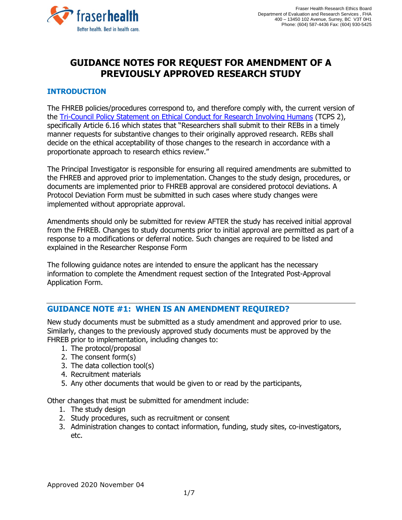

# **GUIDANCE NOTES FOR REQUEST FOR AMENDMENT OF A PREVIOUSLY APPROVED RESEARCH STUDY**

# **INTRODUCTION**

The FHREB policies/procedures correspond to, and therefore comply with, the current version of the Tri-Council Policy Statement [on Ethical Conduct for Research Involving Humans](http://www.pre.ethics.gc.ca/pdf/eng/tcps2-2014/TCPS_2_FINAL_Web.pdf) (TCPS 2), specifically Article 6.16 which states that "Researchers shall submit to their REBs in a timely manner requests for substantive changes to their originally approved research. REBs shall decide on the ethical acceptability of those changes to the research in accordance with a proportionate approach to research ethics review."

The Principal Investigator is responsible for ensuring all required amendments are submitted to the FHREB and approved prior to implementation. Changes to the study design, procedures, or documents are implemented prior to FHREB approval are considered protocol deviations. A Protocol Deviation Form must be submitted in such cases where study changes were implemented without appropriate approval.

Amendments should only be submitted for review AFTER the study has received initial approval from the FHREB. Changes to study documents prior to initial approval are permitted as part of a response to a modifications or deferral notice. Such changes are required to be listed and explained in the Researcher Response Form

The following guidance notes are intended to ensure the applicant has the necessary information to complete the Amendment request section of the Integrated Post-Approval Application Form.

# **GUIDANCE NOTE #1: WHEN IS AN AMENDMENT REQUIRED?**

New study documents must be submitted as a study amendment and approved prior to use. Similarly, changes to the previously approved study documents must be approved by the FHREB prior to implementation, including changes to:

- 1. The protocol/proposal
- 2. The consent form(s)
- 3. The data collection tool(s)
- 4. Recruitment materials
- 5. Any other documents that would be given to or read by the participants,

Other changes that must be submitted for amendment include:

- 1. The study design
- 2. Study procedures, such as recruitment or consent
- 3. Administration changes to contact information, funding, study sites, co-investigators, etc.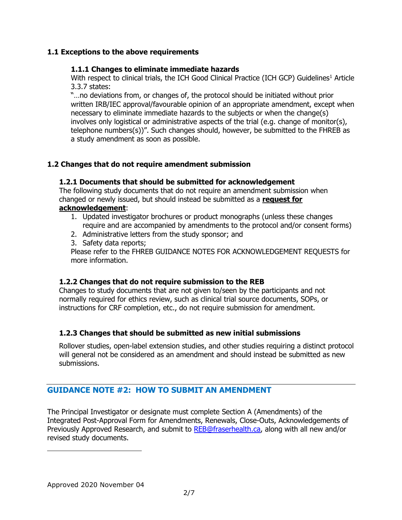### **1.1 Exceptions to the above requirements**

#### **1.1.1 Changes to eliminate immediate hazards**

With respect to clinical trials, the ICH Good Clinical Practice (ICH GCP) Guidelines<sup>1</sup> Article 3.3.7 states:

"…no deviations from, or changes of, the protocol should be initiated without prior written IRB/IEC approval/favourable opinion of an appropriate amendment, except when necessary to eliminate immediate hazards to the subjects or when the change(s) involves only logistical or administrative aspects of the trial (e.g. change of monitor(s), telephone numbers(s))". Such changes should, however, be submitted to the FHREB as a study amendment as soon as possible.

#### **1.2 Changes that do not require amendment submission**

#### **1.2.1 Documents that should be submitted for acknowledgement**

The following study documents that do not require an amendment submission when changed or newly issued, but should instead be submitted as a **request for** 

#### **acknowledgement**:

- 1. Updated investigator brochures or product monographs (unless these changes require and are accompanied by amendments to the protocol and/or consent forms)
- 2. Administrative letters from the study sponsor; and
- 3. Safety data reports;

Please refer to the FHREB GUIDANCE NOTES FOR ACKNOWLEDGEMENT REQUESTS for more information.

#### **1.2.2 Changes that do not require submission to the REB**

Changes to study documents that are not given to/seen by the participants and not normally required for ethics review, such as clinical trial source documents, SOPs, or instructions for CRF completion, etc., do not require submission for amendment.

# **1.2.3 Changes that should be submitted as new initial submissions**

Rollover studies, open-label extension studies, and other studies requiring a distinct protocol will general not be considered as an amendment and should instead be submitted as new submissions.

# **GUIDANCE NOTE #2: HOW TO SUBMIT AN AMENDMENT**

The Principal Investigator or designate must complete Section A (Amendments) of the Integrated Post-Approval Form for Amendments, Renewals, Close-Outs, Acknowledgements of Previously Approved Research, and submit to [REB@fraserhealth.ca,](mailto:REB@fraserhealth.ca) along with all new and/or revised study documents.

 $\overline{a}$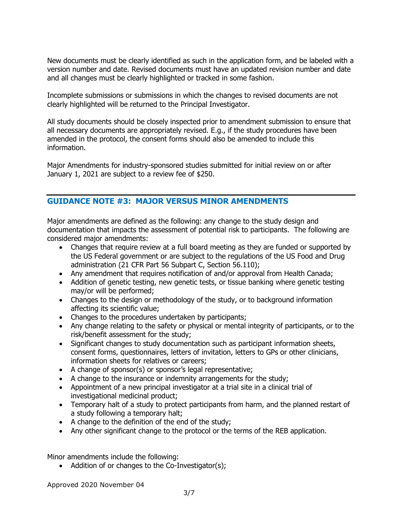New documents must be clearly identified as such in the application form, and be labeled with a version number and date. Revised documents must have an updated revision number and date and all changes must be clearly highlighted or tracked in some fashion.

Incomplete submissions or submissions in which the changes to revised documents are not clearly highlighted will be returned to the Principal Investigator.

All study documents should be closely inspected prior to amendment submission to ensure that all necessary documents are appropriately revised. E.g., if the study procedures have been amended in the protocol, the consent forms should also be amended to include this information.

Major Amendments for industry-sponsored studies submitted for initial review on or after January 1, 2021 are subject to a review fee of \$250.

# **GUIDANCE NOTE #3: MAJOR VERSUS MINOR AMENDMENTS**

Major amendments are defined as the following: any change to the study design and documentation that impacts the assessment of potential risk to participants. The following are considered major amendments:

- Changes that require review at a full board meeting as they are funded or supported by the US Federal government or are subject to the regulations of the US Food and Drug administration (21 CFR Part 56 Subpart C, Section 56.110);
- Any amendment that requires notification of and/or approval from Health Canada;
- Addition of genetic testing, new genetic tests, or tissue banking where genetic testing may/or will be performed;
- Changes to the design or methodology of the study, or to background information affecting its scientific value;
- Changes to the procedures undertaken by participants;
- Any change relating to the safety or physical or mental integrity of participants, or to the risk/benefit assessment for the study;
- Significant changes to study documentation such as participant information sheets, consent forms, questionnaires, letters of invitation, letters to GPs or other clinicians, information sheets for relatives or careers;
- A change of sponsor(s) or sponsor's legal representative;
- A change to the insurance or indemnity arrangements for the study;
- Appointment of a new principal investigator at a trial site in a clinical trial of investigational medicinal product;
- Temporary halt of a study to protect participants from harm, and the planned restart of a study following a temporary halt;
- A change to the definition of the end of the study;
- Any other significant change to the protocol or the terms of the REB application.

Minor amendments include the following:

• Addition of or changes to the Co-Investigator(s);

Approved 2020 November 04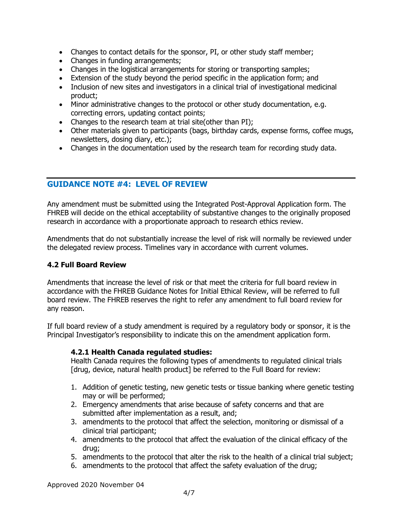- Changes to contact details for the sponsor, PI, or other study staff member;
- Changes in funding arrangements;
- Changes in the logistical arrangements for storing or transporting samples;
- Extension of the study beyond the period specific in the application form; and
- Inclusion of new sites and investigators in a clinical trial of investigational medicinal product;
- Minor administrative changes to the protocol or other study documentation, e.g. correcting errors, updating contact points;
- Changes to the research team at trial site (other than PI);
- Other materials given to participants (bags, birthday cards, expense forms, coffee mugs, newsletters, dosing diary, etc.);
- Changes in the documentation used by the research team for recording study data.

# **GUIDANCE NOTE #4: LEVEL OF REVIEW**

Any amendment must be submitted using the Integrated Post-Approval Application form. The FHREB will decide on the ethical acceptability of substantive changes to the originally proposed research in accordance with a proportionate approach to research ethics review.

Amendments that do not substantially increase the level of risk will normally be reviewed under the delegated review process. Timelines vary in accordance with current volumes.

# **4.2 Full Board Review**

Amendments that increase the level of risk or that meet the criteria for full board review in accordance with the FHREB Guidance Notes for Initial Ethical Review, will be referred to full board review. The FHREB reserves the right to refer any amendment to full board review for any reason.

If full board review of a study amendment is required by a regulatory body or sponsor, it is the Principal Investigator's responsibility to indicate this on the amendment application form.

#### **4.2.1 Health Canada regulated studies:**

Health Canada requires the following types of amendments to regulated clinical trials [drug, device, natural health product] be referred to the Full Board for review:

- 1. Addition of genetic testing, new genetic tests or tissue banking where genetic testing may or will be performed;
- 2. Emergency amendments that arise because of safety concerns and that are submitted after implementation as a result, and;
- 3. amendments to the protocol that affect the selection, monitoring or dismissal of a clinical trial participant;
- 4. amendments to the protocol that affect the evaluation of the clinical efficacy of the drug;
- 5. amendments to the protocol that alter the risk to the health of a clinical trial subject;
- 6. amendments to the protocol that affect the safety evaluation of the drug;

Approved 2020 November 04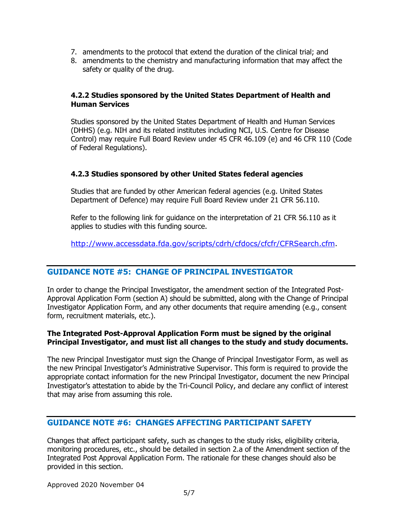- 7. amendments to the protocol that extend the duration of the clinical trial; and
- 8. amendments to the chemistry and manufacturing information that may affect the safety or quality of the drug.

#### **4.2.2 Studies sponsored by the United States Department of Health and Human Services**

Studies sponsored by the United States Department of Health and Human Services (DHHS) (e.g. NIH and its related institutes including NCI, U.S. Centre for Disease Control) may require Full Board Review under 45 CFR 46.109 (e) and 46 CFR 110 (Code of Federal Regulations).

#### **4.2.3 Studies sponsored by other United States federal agencies**

Studies that are funded by other American federal agencies (e.g. United States Department of Defence) may require Full Board Review under 21 CFR 56.110.

Refer to the following link for guidance on the interpretation of 21 CFR 56.110 as it applies to studies with this funding source.

[http://www.accessdata.fda.gov/scripts/cdrh/cfdocs/cfcfr/CFRSearch.cfm.](http://www.accessdata.fda.gov/scripts/cdrh/cfdocs/cfcfr/CFRSearch.cfm)

# **GUIDANCE NOTE #5: CHANGE OF PRINCIPAL INVESTIGATOR**

In order to change the Principal Investigator, the amendment section of the Integrated Post-Approval Application Form (section A) should be submitted, along with the Change of Principal Investigator Application Form, and any other documents that require amending (e.g., consent form, recruitment materials, etc.).

#### **The Integrated Post-Approval Application Form must be signed by the original Principal Investigator, and must list all changes to the study and study documents.**

The new Principal Investigator must sign the Change of Principal Investigator Form, as well as the new Principal Investigator's Administrative Supervisor. This form is required to provide the appropriate contact information for the new Principal Investigator, document the new Principal Investigator's attestation to abide by the Tri-Council Policy, and declare any conflict of interest that may arise from assuming this role.

# **GUIDANCE NOTE #6: CHANGES AFFECTING PARTICIPANT SAFETY**

Changes that affect participant safety, such as changes to the study risks, eligibility criteria, monitoring procedures, etc., should be detailed in section 2.a of the Amendment section of the Integrated Post Approval Application Form. The rationale for these changes should also be provided in this section.

Approved 2020 November 04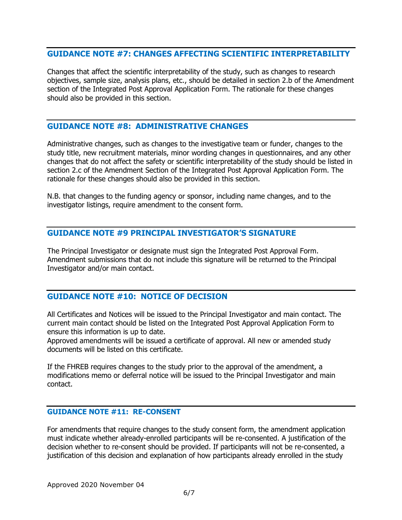### **GUIDANCE NOTE #7: CHANGES AFFECTING SCIENTIFIC INTERPRETABILITY**

Changes that affect the scientific interpretability of the study, such as changes to research objectives, sample size, analysis plans, etc., should be detailed in section 2.b of the Amendment section of the Integrated Post Approval Application Form. The rationale for these changes should also be provided in this section.

#### **GUIDANCE NOTE #8: ADMINISTRATIVE CHANGES**

Administrative changes, such as changes to the investigative team or funder, changes to the study title, new recruitment materials, minor wording changes in questionnaires, and any other changes that do not affect the safety or scientific interpretability of the study should be listed in section 2.c of the Amendment Section of the Integrated Post Approval Application Form. The rationale for these changes should also be provided in this section.

N.B. that changes to the funding agency or sponsor, including name changes, and to the investigator listings, require amendment to the consent form.

#### **GUIDANCE NOTE #9 PRINCIPAL INVESTIGATOR'S SIGNATURE**

The Principal Investigator or designate must sign the Integrated Post Approval Form. Amendment submissions that do not include this signature will be returned to the Principal Investigator and/or main contact.

# **GUIDANCE NOTE #10: NOTICE OF DECISION**

All Certificates and Notices will be issued to the Principal Investigator and main contact. The current main contact should be listed on the Integrated Post Approval Application Form to ensure this information is up to date.

Approved amendments will be issued a certificate of approval. All new or amended study documents will be listed on this certificate.

If the FHREB requires changes to the study prior to the approval of the amendment, a modifications memo or deferral notice will be issued to the Principal Investigator and main contact.

# **GUIDANCE NOTE #11: RE-CONSENT**

For amendments that require changes to the study consent form, the amendment application must indicate whether already-enrolled participants will be re-consented. A justification of the decision whether to re-consent should be provided. If participants will not be re-consented, a justification of this decision and explanation of how participants already enrolled in the study